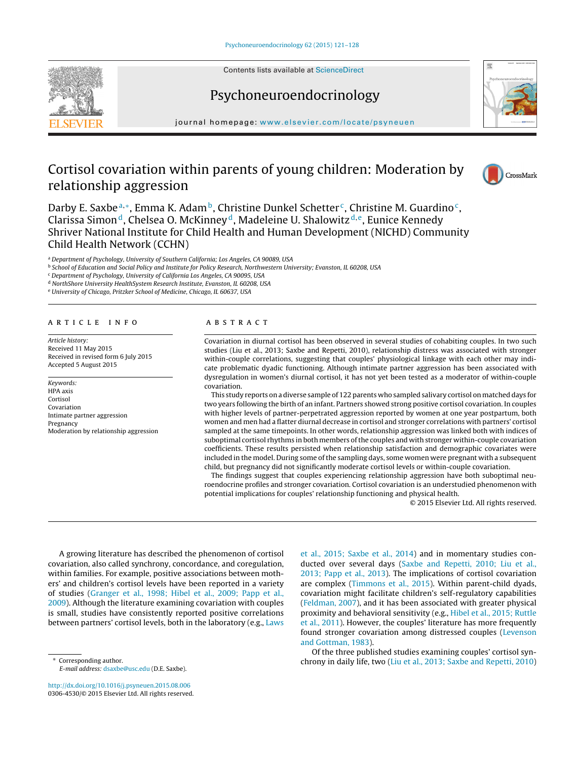

# Psychoneuroendocrinology



iournal homepage: [www.elsevier.com/locate/psyneuen](http://www.elsevier.com/locate/psyneuen)

# Cortisol covariation within parents of young children: Moderation by relationship aggression



Darby E. Saxbe<sup>a,∗</sup>, Emma K. Adam<sup>b</sup>, Christine Dunkel Schetter<sup>c</sup>, Christine M. Guardino<sup>c</sup>, Clarissa Simon<sup>d</sup>, Chelsea O. McKinney<sup>d</sup>, Madeleine U. Shalowitz<sup>d, e</sup>, Eunice Kennedy Shriver National Institute for Child Health and Human Development (NICHD) Community Child Health Network (CCHN)

<sup>a</sup> Department of Psychology, University of Southern California; Los Angeles, CA 90089, USA

<sup>b</sup> School of Education and Social Policy and Institute for Policy Research, Northwestern University; Evanston, IL 60208, USA

<sup>c</sup> Department of Psychology, University of California Los Angeles, CA 90095, USA

<sup>d</sup> NorthShore University HealthSystem Research Institute, Evanston, IL 60208, USA

<sup>e</sup> University of Chicago, Pritzker School of Medicine, Chicago, IL 60637, USA

#### a r t i c l e i n f o

Article history: Received 11 May 2015 Received in revised form 6 July 2015 Accepted 5 August 2015

Keywords: HPA axis Cortisol Covariation Intimate partner aggression Pregnancy Moderation by relationship aggression

# A B S T R A C T

Covariation in diurnal cortisol has been observed in several studies of cohabiting couples. In two such studies (Liu et al., 2013; Saxbe and Repetti, 2010), relationship distress was associated with stronger within-couple correlations, suggesting that couples' physiological linkage with each other may indicate problematic dyadic functioning. Although intimate partner aggression has been associated with dysregulation in women's diurnal cortisol, it has not yet been tested as a moderator of within-couple covariation.

This study reports on a diverse sample of 122 parents who sampled salivary cortisol on matched days for two years following the birth of an infant. Partners showed strong positive cortisol covariation. In couples with higher levels of partner-perpetrated aggression reported by women at one year postpartum, both women and men had a flatter diurnal decrease in cortisol and stronger correlations with partners' cortisol sampled at the same timepoints. In other words, relationship aggression was linked both with indices of suboptimal cortisol rhythms in both members of the couples and with stronger within-couple covariation coefficients. These results persisted when relationship satisfaction and demographic covariates were included in the model. During some of the sampling days, some women were pregnant with a subsequent child, but pregnancy did not significantly moderate cortisol levels or within-couple covariation.

The findings suggest that couples experiencing relationship aggression have both suboptimal neuroendocrine profiles and stronger covariation. Cortisol covariation is an understudied phenomenon with potential implications for couples' relationship functioning and physical health.

© 2015 Elsevier Ltd. All rights reserved.

A growing literature has described the phenomenon of cortisol covariation, also called synchrony, concordance, and coregulation, within families. For example, positive associations between mothers' and children's cortisol levels have been reported in a variety of studies [\(Granger](#page-7-0) et [al.,](#page-7-0) [1998;](#page-7-0) [Hibel](#page-7-0) et [al.,](#page-7-0) [2009;](#page-7-0) [Papp](#page-7-0) et [al.,](#page-7-0) [2009\).](#page-7-0) Although the literature examining covariation with couples is small, studies have consistently reported positive correlations between partners' cortisol levels, both in the laboratory (e.g., [Laws](#page-7-0)

[http://dx.doi.org/10.1016/j.psyneuen.2015.08.006](dx.doi.org/10.1016/j.psyneuen.2015.08.006) 0306-4530/© 2015 Elsevier Ltd. All rights reserved. et [al.,](#page-7-0) [2015;](#page-7-0) [Saxbe](#page-7-0) et [al.,](#page-7-0) [2014\)](#page-7-0) and in momentary studies conducted over several days [\(Saxbe](#page-7-0) [and](#page-7-0) [Repetti,](#page-7-0) [2010;](#page-7-0) [Liu](#page-7-0) et [al.,](#page-7-0) [2013;](#page-7-0) [Papp](#page-7-0) et [al.,](#page-7-0) [2013\).](#page-7-0) The implications of cortisol covariation are complex ([Timmons](#page-7-0) et [al.,](#page-7-0) [2015\).](#page-7-0) Within parent-child dyads, covariation might facilitate children's self-regulatory capabilities [\(Feldman,](#page-7-0) [2007\),](#page-7-0) and it has been associated with greater physical proximity and behavioral sensitivity (e.g., [Hibel](#page-7-0) et [al.,](#page-7-0) [2015;](#page-7-0) [Ruttle](#page-7-0) et [al.,](#page-7-0) [2011\).](#page-7-0) However, the couples' literature has more frequently found stronger covariation among distressed couples ([Levenson](#page-7-0) [and](#page-7-0) [Gottman,](#page-7-0) [1983\).](#page-7-0)

Of the three published studies examining couples' cortisol synchrony in daily life, two [\(Liu](#page-7-0) et [al.,](#page-7-0) [2013;](#page-7-0) [Saxbe](#page-7-0) [and](#page-7-0) [Repetti,](#page-7-0) [2010\)](#page-7-0)

Corresponding author. E-mail address: [dsaxbe@usc.edu](mailto:dsaxbe@usc.edu) (D.E. Saxbe).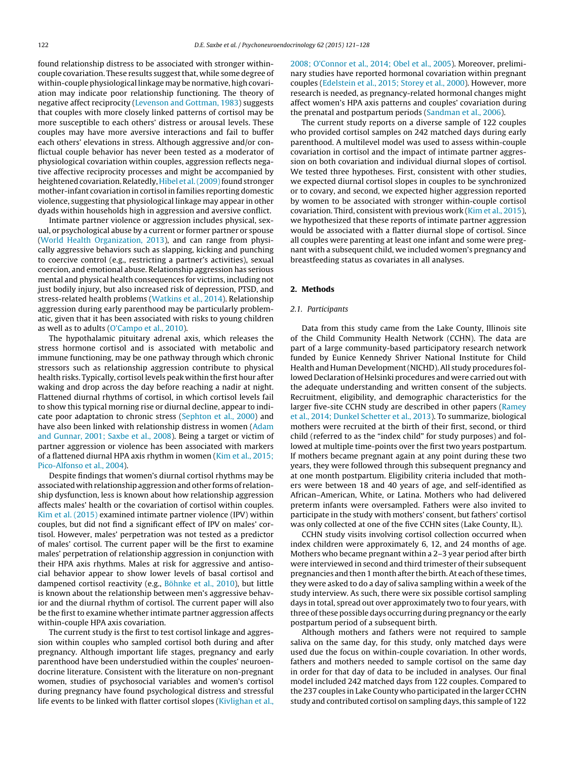found relationship distress to be associated with stronger withincouple covariation. These results suggest that, while some degree of within-couple physiological linkage may be normative, high covariation may indicate poor relationship functioning. The theory of negative affect reciprocity ([Levenson](#page-7-0) [and](#page-7-0) [Gottman,](#page-7-0) [1983\)](#page-7-0) suggests that couples with more closely linked patterns of cortisol may be more susceptible to each others' distress or arousal levels. These couples may have more aversive interactions and fail to buffer each others' elevations in stress. Although aggressive and/or conflictual couple behavior has never been tested as a moderator of physiological covariation within couples, aggression reflects negative affective reciprocity processes and might be accompanied by heightened covariation. Relatedly, [Hibel](#page-7-0) et al. (2009) found stronger mother-infant covariation in cortisol in families reporting domestic violence, suggesting that physiological linkage may appear in other dyads within households high in aggression and aversive conflict.

Intimate partner violence or aggression includes physical, sexual, or psychological abuse by a current or former partner or spouse ([World](#page-7-0) [Health](#page-7-0) [Organization,](#page-7-0) [2013\),](#page-7-0) and can range from physically aggressive behaviors such as slapping, kicking and punching to coercive control (e.g., restricting a partner's activities), sexual coercion, and emotional abuse. Relationship aggression has serious mental and physical health consequences for victims, including not just bodily injury, but also increased risk of depression, PTSD, and stress-related health problems ([Watkins](#page-7-0) et [al.,](#page-7-0) [2014\).](#page-7-0) Relationship aggression during early parenthood may be particularly problematic, given that it has been associated with risks to young children as well as to adults [\(O'Campo](#page-7-0) et [al.,](#page-7-0) [2010\).](#page-7-0)

The hypothalamic pituitary adrenal axis, which releases the stress hormone cortisol and is associated with metabolic and immune functioning, may be one pathway through which chronic stressors such as relationship aggression contribute to physical health risks. Typically, cortisol levels peak within the first hour after waking and drop across the day before reaching a nadir at night. Flattened diurnal rhythms of cortisol, in which cortisol levels fail to show this typical morning rise or diurnal decline, appear to indicate poor adaptation to chronic stress ([Sephton](#page-7-0) et [al.,](#page-7-0) [2000\)](#page-7-0) and have also been linked with relationship distress in women [\(Adam](#page-7-0) [and](#page-7-0) [Gunnar,](#page-7-0) [2001;](#page-7-0) [Saxbe](#page-7-0) et [al.,](#page-7-0) [2008\).](#page-7-0) Being a target or victim of partner aggression or violence has been associated with markers of a flattened diurnal HPA axis rhythm in women [\(Kim](#page-7-0) et [al.,](#page-7-0) [2015;](#page-7-0) [Pico-Alfonso](#page-7-0) et [al.,](#page-7-0) [2004\).](#page-7-0)

Despite findings that women's diurnal cortisol rhythms may be associated with relationship aggression and other forms of relationship dysfunction, less is known about how relationship aggression affects males' health or the covariation of cortisol within couples. [Kim](#page-7-0) et [al.](#page-7-0) [\(2015\)](#page-7-0) examined intimate partner violence (IPV) within couples, but did not find a significant effect of IPV on males' cortisol. However, males' perpetration was not tested as a predictor of males' cortisol. The current paper will be the first to examine males' perpetration of relationship aggression in conjunction with their HPA axis rhythms. Males at risk for aggressive and antisocial behavior appear to show lower levels of basal cortisol and dampened cortisol reactivity (e.g., [Böhnke](#page-7-0) et [al.,](#page-7-0) [2010\),](#page-7-0) but little is known about the relationship between men's aggressive behavior and the diurnal rhythm of cortisol. The current paper will also be the first to examine whether intimate partner aggression affects within-couple HPA axis covariation.

The current study is the first to test cortisol linkage and aggression within couples who sampled cortisol both during and after pregnancy. Although important life stages, pregnancy and early parenthood have been understudied within the couples' neuroendocrine literature. Consistent with the literature on non-pregnant women, studies of psychosocial variables and women's cortisol during pregnancy have found psychological distress and stressful life events to be linked with flatter cortisol slopes [\(Kivlighan](#page-7-0) et [al.,](#page-7-0)

[2008;](#page-7-0) [O'Connor](#page-7-0) et [al.,](#page-7-0) [2014;](#page-7-0) [Obel](#page-7-0) et [al.,](#page-7-0) [2005\).](#page-7-0) Moreover, preliminary studies have reported hormonal covariation within pregnant couples ([Edelstein](#page-7-0) et [al.,](#page-7-0) [2015;](#page-7-0) [Storey](#page-7-0) et [al.,](#page-7-0) [2000\).](#page-7-0) However, more research is needed, as pregnancy-related hormonal changes might affect women's HPA axis patterns and couples' covariation during the prenatal and postpartum periods ([Sandman](#page-7-0) et [al.,](#page-7-0) [2006\).](#page-7-0)

The current study reports on a diverse sample of 122 couples who provided cortisol samples on 242 matched days during early parenthood. A multilevel model was used to assess within-couple covariation in cortisol and the impact of intimate partner aggression on both covariation and individual diurnal slopes of cortisol. We tested three hypotheses. First, consistent with other studies, we expected diurnal cortisol slopes in couples to be synchronized or to covary, and second, we expected higher aggression reported by women to be associated with stronger within-couple cortisol covariation. Third, consistent with previous work ([Kim](#page-7-0) et [al.,](#page-7-0) [2015\),](#page-7-0) we hypothesized that these reports of intimate partner aggression would be associated with a flatter diurnal slope of cortisol. Since all couples were parenting at least one infant and some were pregnant with a subsequent child, we included women's pregnancy and breastfeeding status as covariates in all analyses.

#### **2. Methods**

# 2.1. Participants

Data from this study came from the Lake County, Illinois site of the Child Community Health Network (CCHN). The data are part of a large community-based participatory research network funded by Eunice Kennedy Shriver National Institute for Child Health and Human Development (NICHD). All study procedures followed Declaration of Helsinki procedures and were carried out with the adequate understanding and written consent of the subjects. Recruitment, eligibility, and demographic characteristics for the larger five-site CCHN study are described in other papers ([Ramey](#page-7-0) et [al.,](#page-7-0) [2014;](#page-7-0) [Dunkel](#page-7-0) [Schetter](#page-7-0) et [al.,](#page-7-0) [2013\).](#page-7-0) To summarize, biological mothers were recruited at the birth of their first, second, or third child (referred to as the "index child" for study purposes) and followed at multiple time-points over the first two years postpartum. If mothers became pregnant again at any point during these two years, they were followed through this subsequent pregnancy and at one month postpartum. Eligibility criteria included that mothers were between 18 and 40 years of age, and self-identified as African–American, White, or Latina. Mothers who had delivered preterm infants were oversampled. Fathers were also invited to participate in the study with mothers' consent, but fathers' cortisol was only collected at one of the five CCHN sites (Lake County, IL).

CCHN study visits involving cortisol collection occurred when index children were approximately 6, 12, and 24 months of age. Mothers who became pregnant within a 2–3 year period after birth were interviewed in second and third trimester of their subsequent pregnancies and then 1 month after the birth. At each of these times, they were asked to do a day of saliva sampling within a week of the study interview. As such, there were six possible cortisol sampling days in total, spread out over approximately two to four years, with three ofthese possible days occurring during pregnancy or the early postpartum period of a subsequent birth.

Although mothers and fathers were not required to sample saliva on the same day, for this study, only matched days were used due the focus on within-couple covariation. In other words, fathers and mothers needed to sample cortisol on the same day in order for that day of data to be included in analyses. Our final model included 242 matched days from 122 couples. Compared to the 237 couples in Lake County who participated in the larger CCHN study and contributed cortisol on sampling days, this sample of 122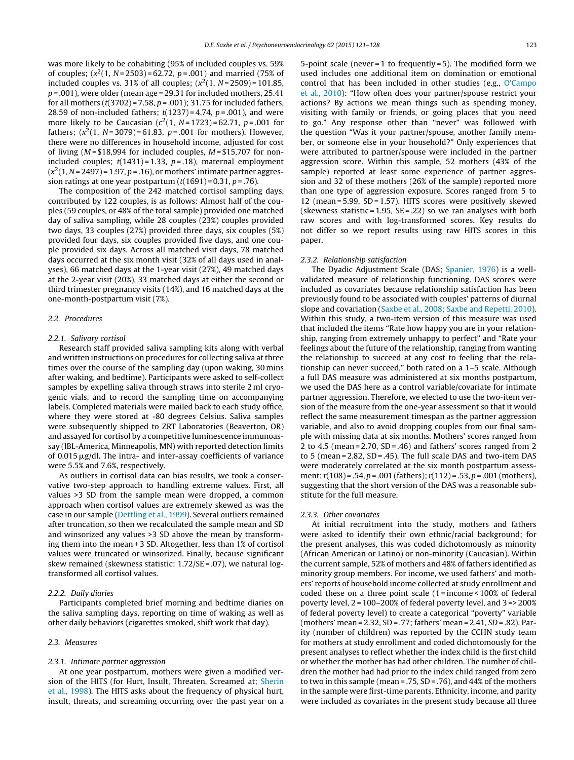was more likely to be cohabiting (95% of included couples vs. 59% of couples;  $(x^2(1, N = 2503) = 62.72, p = .001)$  and married (75% of included couples vs. 31% of all couples;  $(x^2(1, N = 2509) = 101.85$ ,  $p = .001$ ), were older (mean age = 29.31 for included mothers, 25.41 for all mothers  $(t(3702) = 7.58, p = .001)$ ; 31.75 for included fathers, 28.59 of non-included fathers;  $t(1237) = 4.74$ ,  $p = .001$ ), and were more likely to be Caucasian  $(c^2(1, N = 1723) = 62.71, p = .001$  for fathers;  $(x^2(1, N = 3079) = 61.83, p = .001$  for mothers). However, there were no differences in household income, adjusted for cost of living  $(M = $18,994$  for included couples,  $M = $15,707$  for nonincluded couples;  $t(1431) = 1.33$ ,  $p = .18$ ), maternal employment  $(x<sup>2</sup>(1, N = 2497) = 1.97, p = .16)$ , or mothers' intimate partner aggression ratings at one year postpartum  $(t(1691) = 0.31, p = .76)$ .

The composition of the 242 matched cortisol sampling days, contributed by 122 couples, is as follows: Almost half of the couples (59 couples, or 48% of the total sample) provided one matched day of saliva sampling, while 28 couples (23%) couples provided two days, 33 couples (27%) provided three days, six couples (5%) provided four days, six couples provided five days, and one couple provided six days. Across all matched visit days, 78 matched days occurred at the six month visit (32% of all days used in analyses), 66 matched days at the 1-year visit (27%), 49 matched days at the 2-year visit (20%), 33 matched days at either the second or third trimester pregnancy visits (14%), and 16 matched days at the one-month-postpartum visit (7%).

# 2.2. Procedures

## 2.2.1. Salivary cortisol

Research staff provided saliva sampling kits along with verbal and written instructions on procedures for collecting saliva atthree times over the course of the sampling day (upon waking, 30 mins after waking, and bedtime). Participants were asked to self-collect samples by expelling saliva through straws into sterile 2 ml cryogenic vials, and to record the sampling time on accompanying labels. Completed materials were mailed back to each study office, where they were stored at -80 degrees Celsius. Saliva samples were subsequently shipped to ZRT Laboratories (Beaverton, OR) and assayed for cortisol by a competitive luminescence immunoassay (IBL-America, Minneapolis, MN) with reported detection limits of 0.015  $\mu$ g/dl. The intra- and inter-assay coefficients of variance were 5.5% and 7.6%, respectively.

As outliers in cortisol data can bias results, we took a conservative two-step approach to handling extreme values. First, all values >3 SD from the sample mean were dropped, a common approach when cortisol values are extremely skewed as was the case in our sample [\(Dettling](#page-7-0) et [al.,](#page-7-0) [1999\).](#page-7-0) Several outliers remained after truncation, so then we recalculated the sample mean and SD and winsorized any values >3 SD above the mean by transforming them into the mean + 3 SD. Altogether, less than 1% of cortisol values were truncated or winsorized. Finally, because significant skew remained (skewness statistic: 1.72/SE = .07), we natural logtransformed all cortisol values.

## 2.2.2. Daily diaries

Participants completed brief morning and bedtime diaries on the saliva sampling days, reporting on time of waking as well as other daily behaviors (cigarettes smoked, shift work that day).

# 2.3. Measures

# 2.3.1. Intimate partner aggression

At one year postpartum, mothers were given a modified version of the HITS (for Hurt, Insult, Threaten, Screamed at; [Sherin](#page-7-0) et [al.,](#page-7-0) [1998\).](#page-7-0) The HITS asks about the frequency of physical hurt, insult, threats, and screaming occurring over the past year on a

5-point scale (never = 1 to frequently = 5). The modified form we used includes one additional item on domination or emotional control that has been included in other studies (e.g., [O'Campo](#page-7-0) et [al.,](#page-7-0) [2010\):](#page-7-0) "How often does your partner/spouse restrict your actions? By actions we mean things such as spending money, visiting with family or friends, or going places that you need to go." Any response other than "never" was followed with the question "Was it your partner/spouse, another family member, or someone else in your household?" Only experiences that were attributed to partner/spouse were included in the partner aggression score. Within this sample, 52 mothers (43% of the sample) reported at least some experience of partner aggression and 32 of these mothers (26% of the sample) reported more than one type of aggression exposure. Scores ranged from 5 to 12 (mean = 5.99, SD = 1.57). HITS scores were positively skewed (skewness statistic =  $1.95$ , SE =  $.22$ ) so we ran analyses with both raw scores and with log-transformed scores. Key results do not differ so we report results using raw HITS scores in this paper.

### 2.3.2. Relationship satisfaction

The Dyadic Adjustment Scale (DAS; [Spanier,](#page-7-0) [1976\)](#page-7-0) is a wellvalidated measure of relationship functioning. DAS scores were included as covariates because relationship satisfaction has been previously found to be associated with couples' patterns of diurnal slope and covariation [\(Saxbe](#page-7-0) et [al.,](#page-7-0) [2008;](#page-7-0) [Saxbe](#page-7-0) [and](#page-7-0) [Repetti,](#page-7-0) [2010\).](#page-7-0) Within this study, a two-item version of this measure was used that included the items "Rate how happy you are in your relationship, ranging from extremely unhappy to perfect" and "Rate your feelings about the future of the relationship, ranging from wanting the relationship to succeed at any cost to feeling that the relationship can never succeed," both rated on a 1–5 scale. Although a full DAS measure was administered at six months postpartum, we used the DAS here as a control variable/covariate for intimate partner aggression. Therefore, we elected to use the two-item version of the measure from the one-year assessment so that it would reflect the same measurement timespan as the partner aggression variable, and also to avoid dropping couples from our final sample with missing data at six months. Mothers' scores ranged from 2 to 4.5 (mean = 2.70, SD = .46) and fathers' scores ranged from 2 to 5 (mean = 2.82, SD = .45). The full scale DAS and two-item DAS were moderately correlated at the six month postpartum assessment:  $r(108) = .54$ ,  $p = .001$  (fathers);  $r(112) = .53$ ,  $p = .001$  (mothers), suggesting that the short version of the DAS was a reasonable substitute for the full measure.

# 2.3.3. Other covariates

At initial recruitment into the study, mothers and fathers were asked to identify their own ethnic/racial background; for the present analyses, this was coded dichotomously as minority (African American or Latino) or non-minority (Caucasian). Within the current sample, 52% of mothers and 48% of fathers identified as minority group members. For income, we used fathers' and mothers' reports of household income collected at study enrollment and coded these on a three point scale (1 = income < 100% of federal poverty level, 2 = 100–200% of federal poverty level, and 3 => 200% of federal poverty level) to create a categorical "poverty" variable (mothers' mean = 2.32, SD = .77; fathers' mean = 2.41, SD = .82). Parity (number of children) was reported by the CCHN study team for mothers at study enrollment and coded dichotomously for the present analyses to reflect whether the index child is the first child or whether the mother has had other children. The number of children the mother had had prior to the index child ranged from zero to two in this sample (mean = .75, SD = .76), and 44% of the mothers in the sample were first-time parents. Ethnicity, income, and parity were included as covariates in the present study because all three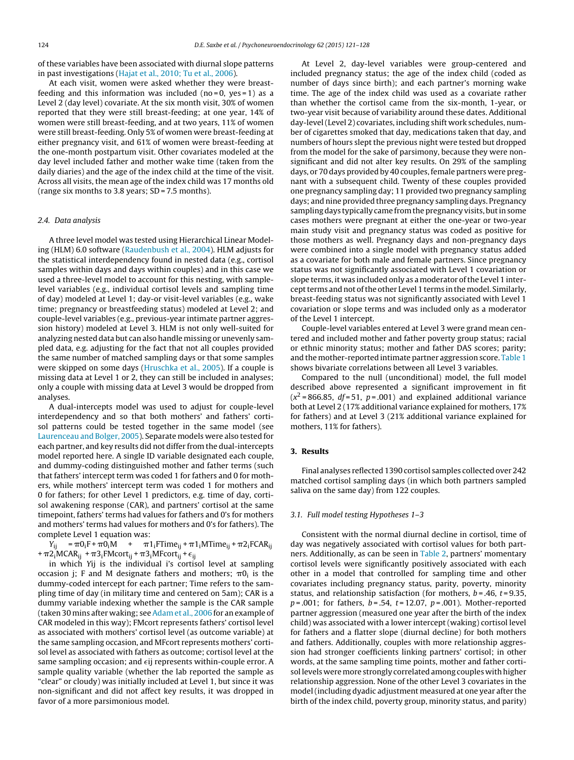of these variables have been associated with diurnal slope patterns in past investigations [\(Hajat](#page-7-0) et [al.,](#page-7-0) [2010;](#page-7-0) [Tu](#page-7-0) et [al.,](#page-7-0) [2006\).](#page-7-0)

At each visit, women were asked whether they were breastfeeding and this information was included (no = 0, yes = 1) as a Level 2 (day level) covariate. At the six month visit, 30% of women reported that they were still breast-feeding; at one year, 14% of women were still breast-feeding, and at two years, 11% of women were still breast-feeding. Only 5% of women were breast-feeding at either pregnancy visit, and 61% of women were breast-feeding at the one-month postpartum visit. Other covariates modeled at the day level included father and mother wake time (taken from the daily diaries) and the age of the index child at the time of the visit. Across all visits, the mean age of the index child was 17 months old (range six months to 3.8 years; SD = 7.5 months).

# 2.4. Data analysis

A three level model was tested using Hierarchical Linear Modeling (HLM) 6.0 software ([Raudenbush](#page-7-0) et [al.,](#page-7-0) [2004\).](#page-7-0) HLM adjusts for the statistical interdependency found in nested data (e.g., cortisol samples within days and days within couples) and in this case we used a three-level model to account for this nesting, with samplelevel variables (e.g., individual cortisol levels and sampling time of day) modeled at Level 1; day-or visit-level variables (e.g., wake time; pregnancy or breastfeeding status) modeled at Level 2; and couple-level variables (e.g., previous-year intimate partner aggression history) modeled at Level 3. HLM is not only well-suited for analyzing nested data but can also handle missing or unevenly sampled data, e.g. adjusting for the fact that not all couples provided the same number of matched sampling days or that some samples were skipped on some days [\(Hruschka](#page-7-0) et [al.,](#page-7-0) [2005\).](#page-7-0) If a couple is missing data at Level 1 or 2, they can still be included in analyses; only a couple with missing data at Level 3 would be dropped from analyses.

A dual-intercepts model was used to adjust for couple-level interdependency and so that both mothers' and fathers' cortisol patterns could be tested together in the same model (see [Laurenceau](#page-7-0) [and](#page-7-0) [Bolger,](#page-7-0) [2005\).](#page-7-0) Separate models were also tested for each partner, and key results did not differ from the dual-intercepts model reported here. A single ID variable designated each couple, and dummy-coding distinguished mother and father terms (such that fathers' intercept term was coded 1 for fathers and 0 for mothers, while mothers' intercept term was coded 1 for mothers and 0 for fathers; for other Level 1 predictors, e.g. time of day, cortisol awakening response (CAR), and partners' cortisol at the same timepoint, fathers' terms had values for fathers and 0's for mothers and mothers' terms had values for mothers and 0's for fathers). The complete Level 1 equation was:

 $Y_{ij} = \pi 0_i F + \pi 0_i M \quad + \quad \pi 1_i FTime_{ij} + \pi 1_i MTime_{ij} + \pi 2_i FCAR_{ij}$ +  $\pi 2$ <sub>i</sub>MCAR<sub>ij</sub> +  $\pi 3$ <sub>i</sub>FMcort<sub>ij</sub> +  $\pi 3$ <sub>i</sub>MFcort<sub>ij</sub> +  $\epsilon_{\rm ij}$ 

in which Yij is the individual i's cortisol level at sampling occasion j; F and M designate fathers and mothers;  $\pi 0_i$  is the dummy-coded intercept for each partner; Time refers to the sampling time of day (in military time and centered on 5am); CAR is a dummy variable indexing whether the sample is the CAR sample (taken 30 mins after waking; see [Adam](#page-7-0) et [al.,](#page-7-0) [2006](#page-7-0) for an example of CAR modeled in this way); FMcort represents fathers' cortisol level as associated with mothers' cortisol level (as outcome variable) at the same sampling occasion, and MFcort represents mothers' cortisol level as associated with fathers as outcome; cortisol level at the same sampling occasion; and  $\epsilon$ ij represents within-couple error. A sample quality variable (whether the lab reported the sample as "clear" or cloudy) was initially included at Level 1, but since it was non-significant and did not affect key results, it was dropped in favor of a more parsimonious model.

At Level 2, day-level variables were group-centered and included pregnancy status; the age of the index child (coded as number of days since birth); and each partner's morning wake time. The age of the index child was used as a covariate rather than whether the cortisol came from the six-month, 1-year, or two-year visit because of variability around these dates. Additional day-level (Level 2) covariates, including shift work schedules, number of cigarettes smoked that day, medications taken that day, and numbers of hours slept the previous night were tested but dropped from the model for the sake of parsimony, because they were nonsignificant and did not alter key results. On 29% of the sampling days, or 70 days provided by 40 couples, female partners were pregnant with a subsequent child. Twenty of these couples provided one pregnancy sampling day; 11 provided two pregnancy sampling days; and nine provided three pregnancy sampling days. Pregnancy sampling days typically came from the pregnancy visits, but in some cases mothers were pregnant at either the one-year or two-year main study visit and pregnancy status was coded as positive for those mothers as well. Pregnancy days and non-pregnancy days were combined into a single model with pregnancy status added as a covariate for both male and female partners. Since pregnancy status was not significantly associated with Level 1 covariation or slope terms, it was included only as a moderator ofthe Level 1 intercept terms and not of the other Level 1 terms in the model. Similarly, breast-feeding status was not significantly associated with Level 1 covariation or slope terms and was included only as a moderator of the Level 1 intercept.

Couple-level variables entered at Level 3 were grand mean centered and included mother and father poverty group status; racial or ethnic minority status; mother and father DAS scores; parity; and the mother-reported intimate partner aggression score. [Table](#page-4-0) 1 shows bivariate correlations between all Level 3 variables.

Compared to the null (unconditional) model, the full model described above represented a significant improvement in fit  $(x^2 = 866.85, df = 51, p = .001)$  and explained additional variance both at Level 2 (17% additional variance explained for mothers, 17% for fathers) and at Level 3 (21% additional variance explained for mothers, 11% for fathers).

# **3. Results**

Final analyses reflected 1390 cortisol samples collected over 242 matched cortisol sampling days (in which both partners sampled saliva on the same day) from 122 couples.

# 3.1. Full model testing Hypotheses 1–3

Consistent with the normal diurnal decline in cortisol, time of day was negatively associated with cortisol values for both partners. Additionally, as can be seen in [Table](#page-4-0) 2, partners' momentary cortisol levels were significantly positively associated with each other in a model that controlled for sampling time and other covariates including pregnancy status, parity, poverty, minority status, and relationship satisfaction (for mothers,  $b = .46$ ,  $t = 9.35$ ,  $p = .001$ ; for fathers,  $b = .54$ ,  $t = 12.07$ ,  $p = .001$ ). Mother-reported partner aggression (measured one year after the birth of the index child) was associated with a lower intercept (waking) cortisol level for fathers and a flatter slope (diurnal decline) for both mothers and fathers. Additionally, couples with more relationship aggression had stronger coefficients linking partners' cortisol; in other words, at the same sampling time points, mother and father cortisol levels were more strongly correlated among couples with higher relationship aggression. None of the other Level 3 covariates in the model(including dyadic adjustment measured at one year after the birth of the index child, poverty group, minority status, and parity)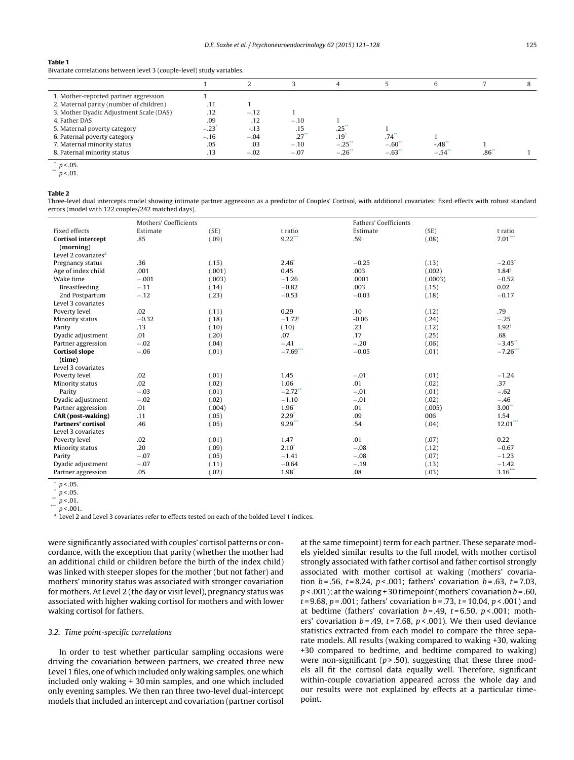#### <span id="page-4-0"></span>**Table 1**

Bivariate correlations between level 3 (couple-level) study variables.

|                                         |                     |        |               | 4                   |                     | 6                   |      |  |
|-----------------------------------------|---------------------|--------|---------------|---------------------|---------------------|---------------------|------|--|
| 1. Mother-reported partner aggression   |                     |        |               |                     |                     |                     |      |  |
| 2. Maternal parity (number of children) | .11                 |        |               |                     |                     |                     |      |  |
| 3. Mother Dyadic Adjustment Scale (DAS) | .12                 | $-.12$ |               |                     |                     |                     |      |  |
| 4. Father DAS                           | .09                 | .12    | $-.10$        |                     |                     |                     |      |  |
| 5. Maternal poverty category            | $-.23$ <sup>*</sup> | $-.13$ | .15           | .25                 |                     |                     |      |  |
| 6. Paternal poverty category            | $-.16$              | $-.04$ | $.27^{\circ}$ | $.19^{1}$           | .74 <sup>°</sup>    |                     |      |  |
| 7. Maternal minority status             | .05                 | .03    | $-.10$        | $-.25$ <sup>*</sup> | $-.60*$             | $-.48"$             |      |  |
| 8. Paternal minority status             | .13                 | $-.02$ | $-.07$        | $-.26^*$            | $-.63$ <sup>*</sup> | $-.54$ <sup>'</sup> | .86" |  |

 $p < .05$ .

 $p < .01$ .

### **Table 2**

Three-level dual intercepts model showing intimate partner aggression as a predictor of Couples' Cortisol, with additional covariates: fixed effects with robust standard errors (model with 122 couples/242 matched days).

|                                 | Mothers' Coefficients |        |                      | Fathers' Coefficients |         |                      |
|---------------------------------|-----------------------|--------|----------------------|-----------------------|---------|----------------------|
| Fixed effects                   | Estimate              | (SE)   | t ratio              | Estimate              | (SE)    | t ratio              |
| <b>Cortisol intercept</b>       | .85                   | (.09)  | $9.22***$            | .59                   | (.08)   | $7.01***$            |
| (morning)                       |                       |        |                      |                       |         |                      |
| Level 2 covariates <sup>a</sup> |                       |        |                      |                       |         |                      |
| Pregnancy status                | .36                   | (.15)  | 2.46                 | $-0.25$               | (.13)   | $-2.03$ <sup>*</sup> |
| Age of index child              | .001                  | (.001) | 0.45                 | .003                  | (.002)  | $1.84^{\dagger}$     |
| Wake time                       | $-.001$               | (.003) | $-1.26$              | .0001                 | (.0003) | $-0.52$              |
| Breastfeeding                   | $-.11$                | (.14)  | $-0.82$              | .003                  | (.15)   | 0.02                 |
| 2nd Postpartum                  | $-.12$                | (.23)  | $-0.53$              | $-0.03$               | (.18)   | $-0.17$              |
| Level 3 covariates              |                       |        |                      |                       |         |                      |
| Poverty level                   | .02                   | (.11)  | 0.29                 | .10                   | (.12)   | .79                  |
| Minority status                 | $-0.32$               | (.18)  | $-1.72$ <sup>†</sup> | $-0.06$               | (.24)   | $-.25$               |
| Parity                          | .13                   | (.10)  | (.10)                | .23                   | (.12)   | $1.92^+$             |
| Dyadic adjustment               | .01                   | (.20)  | .07                  | .17                   | (.25)   | .68                  |
| Partner aggression              | $-.02$                | (.04)  | $-.41$               | $-.20$                | (.06)   | $-3.45$ **           |
| <b>Cortisol slope</b>           | $-.06$                | (.01)  | $-7.69***$           | $-0.05$               | (.01)   | $-7.26***$           |
| (time)                          |                       |        |                      |                       |         |                      |
| Level 3 covariates              |                       |        |                      |                       |         |                      |
| Poverty level                   | .02                   | (.01)  | 1.45                 | $-.01$                | (.01)   | $-1.24$              |
| Minority status                 | .02                   | (.02)  | 1.06                 | .01                   | (.02)   | .37                  |
| Parity                          | $-.03$                | (.01)  | $-2.72$ **           | $-.01$                | (.01)   | $-.62$               |
| Dyadic adjustment               | $-.02$                | (.02)  | $-1.10$              | $-.01$                | (.02)   | $-.46$               |
| Partner aggression              | .01                   | (.004) | $1.96*$              | .01                   | (.005)  | $3.00$ **            |
| CAR (post-waking)               | .11                   | (.05)  | $2.29*$              | .09                   | 006     | 1.54                 |
| <b>Partners' cortisol</b>       | .46                   | (.05)  | $9.29***$            | .54                   | (.04)   | $12.01***$           |
| Level 3 covariates              |                       |        |                      |                       |         |                      |
| Poverty level                   | .02                   | (.01)  | 1.47                 | .01                   | (.07)   | 0.22                 |
| Minority status                 | .20                   | (.09)  | $2.10^*$             | $-.08$                | (.12)   | $-0.67$              |
| Parity                          | $-.07$                | (.05)  | $-1.41$              | $-.08$                | (.07)   | $-1.23$              |
| Dyadic adjustment               | $-.07$                | (.11)  | $-0.64$              | $-.19$                | (.13)   | $-1.42$              |
| Partner aggression              | .05                   | (.02)  | $1.98$ <sup>*</sup>  | .08                   | (.03)   | $3.16***$            |

 $p < .05$ .

 $p < .01$ .

 $p < .001$ .

<sup>a</sup> Level 2 and Level 3 covariates refer to effects tested on each of the bolded Level 1 indices.

were significantly associated with couples' cortisol patterns or concordance, with the exception that parity (whether the mother had an additional child or children before the birth of the index child) was linked with steeper slopes for the mother (but not father) and mothers' minority status was associated with stronger covariation for mothers. At Level 2 (the day or visit level), pregnancy status was associated with higher waking cortisol for mothers and with lower waking cortisol for fathers.

# 3.2. Time point-specific correlations

In order to test whether particular sampling occasions were driving the covariation between partners, we created three new Level 1 files, one of which included only waking samples, one which included only waking + 30 min samples, and one which included only evening samples. We then ran three two-level dual-intercept models that included an intercept and covariation (partner cortisol at the same timepoint) term for each partner. These separate models yielded similar results to the full model, with mother cortisol strongly associated with father cortisol and father cortisol strongly associated with mother cortisol at waking (mothers' covariation  $b = .56$ ,  $t = 8.24$ ,  $p < .001$ ; fathers' covariation  $b = .63$ ,  $t = 7.03$ ,  $p$  < .001); at the waking + 30 timepoint (mothers' covariation  $b$  = .60,  $t = 9.68$ ,  $p = .001$ ; fathers' covariation  $b = .73$ ,  $t = 10.04$ ,  $p < .001$ ) and at bedtime (fathers' covariation  $b = .49$ ,  $t = 6.50$ ,  $p < .001$ ; mothers' covariation  $b = .49$ ,  $t = 7.68$ ,  $p < .001$ ). We then used deviance statistics extracted from each model to compare the three separate models. All results (waking compared to waking +30, waking +30 compared to bedtime, and bedtime compared to waking) were non-significant ( $p > .50$ ), suggesting that these three models all fit the cortisol data equally well. Therefore, significant within-couple covariation appeared across the whole day and our results were not explained by effects at a particular timepoint.

 $p < .05$ .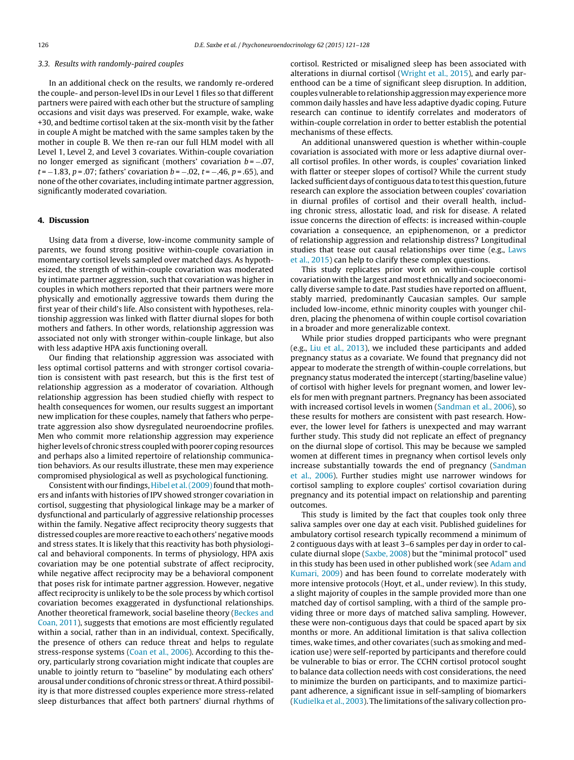#### 3.3. Results with randomly-paired couples

In an additional check on the results, we randomly re-ordered the couple- and person-level IDs in our Level 1 files so that different partners were paired with each other but the structure of sampling occasions and visit days was preserved. For example, wake, wake +30, and bedtime cortisol taken at the six-month visit by the father in couple A might be matched with the same samples taken by the mother in couple B. We then re-ran our full HLM model with all Level 1, Level 2, and Level 3 covariates. Within-couple covariation no longer emerged as significant (mothers' covariation  $b = -.07$ ,  $t = -1.83$ ,  $p = .07$ ; fathers' covariation  $b = -.02$ ,  $t = -.46$ ,  $p = .65$ ), and none ofthe other covariates, including intimate partner aggression, significantly moderated covariation.

# **4. Discussion**

Using data from a diverse, low-income community sample of parents, we found strong positive within-couple covariation in momentary cortisol levels sampled over matched days. As hypothesized, the strength of within-couple covariation was moderated by intimate partner aggression, such that covariation was higher in couples in which mothers reported that their partners were more physically and emotionally aggressive towards them during the first year of their child's life. Also consistent with hypotheses, relationship aggression was linked with flatter diurnal slopes for both mothers and fathers. In other words, relationship aggression was associated not only with stronger within-couple linkage, but also with less adaptive HPA axis functioning overall.

Our finding that relationship aggression was associated with less optimal cortisol patterns and with stronger cortisol covariation is consistent with past research, but this is the first test of relationship aggression as a moderator of covariation. Although relationship aggression has been studied chiefly with respect to health consequences for women, our results suggest an important new implication for these couples, namely that fathers who perpetrate aggression also show dysregulated neuroendocrine profiles. Men who commit more relationship aggression may experience higher levels of chronic stress coupled with poorer coping resources and perhaps also a limited repertoire of relationship communication behaviors. As our results illustrate, these men may experience compromised physiological as well as psychological functioning.

Consistent with our findings, [Hibel](#page-7-0) et al. (2009) found that mothers and infants with histories of IPV showed stronger covariation in cortisol, suggesting that physiological linkage may be a marker of dysfunctional and particularly of aggressive relationship processes within the family. Negative affect reciprocity theory suggests that distressed couples are more reactive to each others' negative moods and stress states. It is likely that this reactivity has both physiological and behavioral components. In terms of physiology, HPA axis covariation may be one potential substrate of affect reciprocity, while negative affect reciprocity may be a behavioral component that poses risk for intimate partner aggression. However, negative affect reciprocity is unlikely to be the sole process by which cortisol covariation becomes exaggerated in dysfunctional relationships. Another theoretical framework, social baseline theory [\(Beckes](#page-7-0) [and](#page-7-0) [Coan,](#page-7-0) [2011\),](#page-7-0) suggests that emotions are most efficiently regulated within a social, rather than in an individual, context. Specifically, the presence of others can reduce threat and helps to regulate stress-response systems ([Coan](#page-7-0) et [al.,](#page-7-0) [2006\).](#page-7-0) According to this theory, particularly strong covariation might indicate that couples are unable to jointly return to "baseline" by modulating each others' arousal under conditions of chronic stress or threat.Athird possibility is that more distressed couples experience more stress-related sleep disturbances that affect both partners' diurnal rhythms of cortisol. Restricted or misaligned sleep has been associated with alterations in diurnal cortisol [\(Wright](#page-7-0) et [al.,](#page-7-0) [2015\),](#page-7-0) and early parenthood can be a time of significant sleep disruption. In addition, couples vulnerable to relationship aggression may experience more common daily hassles and have less adaptive dyadic coping. Future research can continue to identify correlates and moderators of within-couple correlation in order to better establish the potential mechanisms of these effects.

An additional unanswered question is whether within-couple covariation is associated with more or less adaptive diurnal overall cortisol profiles. In other words, is couples' covariation linked with flatter or steeper slopes of cortisol? While the current study lacked sufficient days of contiguous data to test this question, future research can explore the association between couples' covariation in diurnal profiles of cortisol and their overall health, including chronic stress, allostatic load, and risk for disease. A related issue concerns the direction of effects: is increased within-couple covariation a consequence, an epiphenomenon, or a predictor of relationship aggression and relationship distress? Longitudinal studies that tease out causal relationships over time (e.g., [Laws](#page-7-0) et [al.,](#page-7-0) [2015\)](#page-7-0) can help to clarify these complex questions.

This study replicates prior work on within-couple cortisol covariation with the largest and most ethnically and socioeconomically diverse sample to date. Past studies have reported on affluent, stably married, predominantly Caucasian samples. Our sample included low-income, ethnic minority couples with younger children, placing the phenomena of within couple cortisol covariation in a broader and more generalizable context.

While prior studies dropped participants who were pregnant (e.g., [Liu](#page-7-0) et [al.,](#page-7-0) [2013\),](#page-7-0) we included these participants and added pregnancy status as a covariate. We found that pregnancy did not appear to moderate the strength of within-couple correlations, but pregnancy status moderated the intercept(starting/baseline value) of cortisol with higher levels for pregnant women, and lower levels for men with pregnant partners. Pregnancy has been associated with increased cortisol levels in women [\(Sandman](#page-7-0) et [al.,](#page-7-0) [2006\),](#page-7-0) so these results for mothers are consistent with past research. However, the lower level for fathers is unexpected and may warrant further study. This study did not replicate an effect of pregnancy on the diurnal slope of cortisol. This may be because we sampled women at different times in pregnancy when cortisol levels only increase substantially towards the end of pregnancy [\(Sandman](#page-7-0) et [al.,](#page-7-0) [2006\).](#page-7-0) Further studies might use narrower windows for cortisol sampling to explore couples' cortisol covariation during pregnancy and its potential impact on relationship and parenting outcomes.

This study is limited by the fact that couples took only three saliva samples over one day at each visit. Published guidelines for ambulatory cortisol research typically recommend a minimum of 2 contiguous days with at least 3–6 samples per day in order to calculate diurnal slope ([Saxbe,](#page-7-0) [2008\)](#page-7-0) but the "minimal protocol" used in this study has been used in other published work (see [Adam](#page-7-0) [and](#page-7-0) [Kumari,](#page-7-0) [2009\)](#page-7-0) and has been found to correlate moderately with more intensive protocols (Hoyt, et al., under review). In this study, a slight majority of couples in the sample provided more than one matched day of cortisol sampling, with a third of the sample providing three or more days of matched saliva sampling. However, these were non-contiguous days that could be spaced apart by six months or more. An additional limitation is that saliva collection times, wake times, and other covariates (such as smoking and medication use) were self-reported by participants and therefore could be vulnerable to bias or error. The CCHN cortisol protocol sought to balance data collection needs with cost considerations, the need to minimize the burden on participants, and to maximize participant adherence, a significant issue in self-sampling of biomarkers [\(Kudielka](#page-7-0) et [al.,](#page-7-0) [2003\).](#page-7-0) The limitations ofthe salivary collection pro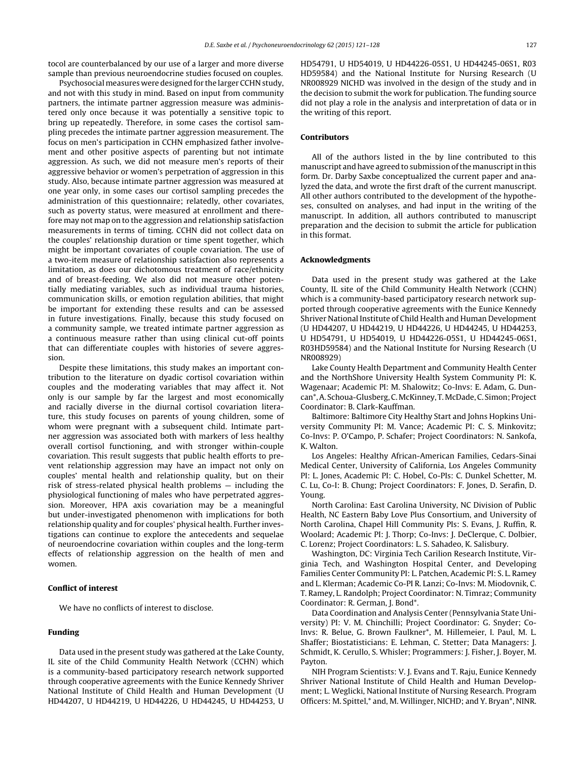tocol are counterbalanced by our use of a larger and more diverse sample than previous neuroendocrine studies focused on couples.

Psychosocial measures were designed for the larger CCHN study, and not with this study in mind. Based on input from community partners, the intimate partner aggression measure was administered only once because it was potentially a sensitive topic to bring up repeatedly. Therefore, in some cases the cortisol sampling precedes the intimate partner aggression measurement. The focus on men's participation in CCHN emphasized father involvement and other positive aspects of parenting but not intimate aggression. As such, we did not measure men's reports of their aggressive behavior or women's perpetration of aggression in this study. Also, because intimate partner aggression was measured at one year only, in some cases our cortisol sampling precedes the administration of this questionnaire; relatedly, other covariates, such as poverty status, were measured at enrollment and therefore may not map on to the aggression and relationship satisfaction measurements in terms of timing. CCHN did not collect data on the couples' relationship duration or time spent together, which might be important covariates of couple covariation. The use of a two-item measure of relationship satisfaction also represents a limitation, as does our dichotomous treatment of race/ethnicity and of breast-feeding. We also did not measure other potentially mediating variables, such as individual trauma histories, communication skills, or emotion regulation abilities, that might be important for extending these results and can be assessed in future investigations. Finally, because this study focused on a community sample, we treated intimate partner aggression as a continuous measure rather than using clinical cut-off points that can differentiate couples with histories of severe aggression.

Despite these limitations, this study makes an important contribution to the literature on dyadic cortisol covariation within couples and the moderating variables that may affect it. Not only is our sample by far the largest and most economically and racially diverse in the diurnal cortisol covariation literature, this study focuses on parents of young children, some of whom were pregnant with a subsequent child. Intimate partner aggression was associated both with markers of less healthy overall cortisol functioning, and with stronger within-couple covariation. This result suggests that public health efforts to prevent relationship aggression may have an impact not only on couples' mental health and relationship quality, but on their risk of stress-related physical health problems — including the physiological functioning of males who have perpetrated aggression. Moreover, HPA axis covariation may be a meaningful but under-investigated phenomenon with implications for both relationship quality and for couples' physical health. Further investigations can continue to explore the antecedents and sequelae of neuroendocrine covariation within couples and the long-term effects of relationship aggression on the health of men and women.

# **Conflict of interest**

We have no conflicts of interest to disclose.

# **Funding**

Data used in the present study was gathered at the Lake County, IL site of the Child Community Health Network (CCHN) which is a community-based participatory research network supported through cooperative agreements with the Eunice Kennedy Shriver National Institute of Child Health and Human Development (U HD44207, U HD44219, U HD44226, U HD44245, U HD44253, U HD54791, U HD54019, U HD44226-05S1, U HD44245-06S1, R03 HD59584) and the National Institute for Nursing Research (U NR008929 NICHD was involved in the design of the study and in the decision to submit the work for publication. The funding source did not play a role in the analysis and interpretation of data or in the writing of this report.

# **Contributors**

All of the authors listed in the by line contributed to this manuscript and have agreed to submission of the manuscript in this form. Dr. Darby Saxbe conceptualized the current paper and analyzed the data, and wrote the first draft of the current manuscript. All other authors contributed to the development of the hypotheses, consulted on analyses, and had input in the writing of the manuscript. In addition, all authors contributed to manuscript preparation and the decision to submit the article for publication in this format.

# **Acknowledgments**

Data used in the present study was gathered at the Lake County, IL site of the Child Community Health Network (CCHN) which is a community-based participatory research network supported through cooperative agreements with the Eunice Kennedy Shriver National Institute of Child Health and Human Development (U HD44207, U HD44219, U HD44226, U HD44245, U HD44253, U HD54791, U HD54019, U HD44226-05S1, U HD44245-06S1, R03HD59584) and the National Institute for Nursing Research (U NR008929)

Lake County Health Department and Community Health Center and the NorthShore University Health System Community PI: K. Wagenaar; Academic PI: M. Shalowitz; Co-Invs: E. Adam, G. Duncan\*,A. Schoua-Glusberg,C.McKinney, T.McDade,C. Simon; Project Coordinator: B. Clark-Kauffman.

Baltimore: Baltimore City Healthy Start and Johns Hopkins University Community PI: M. Vance; Academic PI: C. S. Minkovitz; Co-Invs: P. O'Campo, P. Schafer; Project Coordinators: N. Sankofa, K. Walton.

Los Angeles: Healthy African-American Families, Cedars-Sinai Medical Center, University of California, Los Angeles Community PI: L. Jones, Academic PI: C. Hobel, Co-PIs: C. Dunkel Schetter, M. C. Lu, Co-I: B. Chung; Project Coordinators: F. Jones, D. Serafin, D. Young.

North Carolina: East Carolina University, NC Division of Public Health, NC Eastern Baby Love Plus Consortium, and University of North Carolina, Chapel Hill Community PIs: S. Evans, J. Ruffin, R. Woolard; Academic PI: J. Thorp; Co-Invs: J. DeClerque, C. Dolbier, C. Lorenz; Project Coordinators: L. S. Sahadeo, K. Salisbury.

Washington, DC: Virginia Tech Carilion Research Institute, Virginia Tech, and Washington Hospital Center, and Developing Families Center Community PI: L. Patchen, Academic PI: S. L. Ramey and L. Klerman; Academic Co-PI R. Lanzi; Co-Invs: M. Miodovnik, C. T. Ramey, L. Randolph; Project Coordinator: N. Timraz; Community Coordinator: R. German, J. Bond\*.

Data Coordination and Analysis Center (Pennsylvania State University) PI: V. M. Chinchilli; Project Coordinator: G. Snyder; Co-Invs: R. Belue, G. Brown Faulkner\*, M. Hillemeier, I. Paul, M. L. Shaffer; Biostatisticians: E. Lehman, C. Stetter; Data Managers: J. Schmidt, K. Cerullo, S. Whisler; Programmers: J. Fisher, J. Boyer, M. Payton.

NIH Program Scientists: V. J. Evans and T. Raju, Eunice Kennedy Shriver National Institute of Child Health and Human Development; L. Weglicki, National Institute of Nursing Research. Program Officers: M. Spittel,\* and, M. Willinger, NICHD; and Y. Bryan\*, NINR.